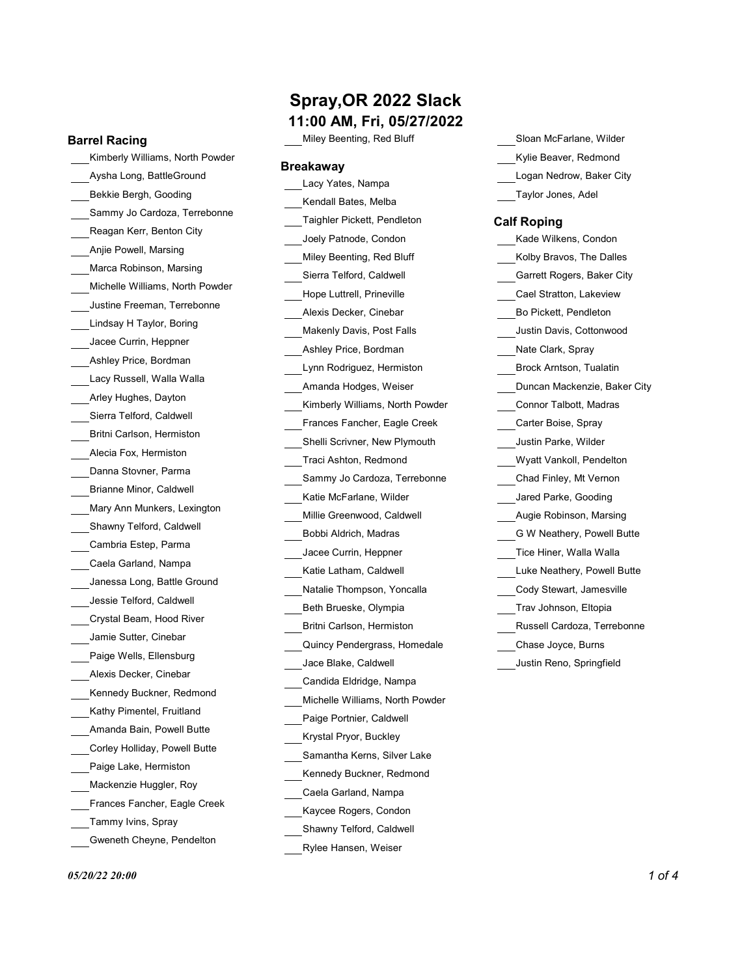### Barrel Racing

Kimberly Williams, North Powder Aysha Long, BattleGround Bekkie Bergh, Gooding Sammy Jo Cardoza, Terrebonne Reagan Kerr, Benton City Anjie Powell, Marsing Marca Robinson, Marsing Michelle Williams, North Powder Justine Freeman, Terrebonne Lindsay H Taylor, Boring Jacee Currin, Heppner Ashley Price, Bordman Lacy Russell, Walla Walla Arley Hughes, Dayton Sierra Telford, Caldwell Britni Carlson, Hermiston Alecia Fox, Hermiston Danna Stovner, Parma Brianne Minor, Caldwell Mary Ann Munkers, Lexington Shawny Telford, Caldwell Cambria Estep, Parma Caela Garland, Nampa Janessa Long, Battle Ground Jessie Telford, Caldwell Crystal Beam, Hood River Jamie Sutter, Cinebar Paige Wells, Ellensburg Alexis Decker, Cinebar Kennedy Buckner, Redmond Kathy Pimentel, Fruitland Amanda Bain, Powell Butte Corley Holliday, Powell Butte Paige Lake, Hermiston Mackenzie Huggler, Roy Frances Fancher, Eagle Creek Tammy Ivins, Spray Gweneth Cheyne, Pendelton

## Spray,OR 2022 Slack

11:00 AM, Fri, 05/27/2022

Miley Beenting, Red Bluff

### Breakaway

Lacy Yates, Nampa Kendall Bates, Melba Taighler Pickett, Pendleton Joely Patnode, Condon Miley Beenting, Red Bluff Sierra Telford, Caldwell Hope Luttrell, Prineville Alexis Decker, Cinebar Makenly Davis, Post Falls Ashley Price, Bordman Lynn Rodriguez, Hermiston Amanda Hodges, Weiser Kimberly Williams, North Powder Frances Fancher, Eagle Creek Shelli Scrivner, New Plymouth Traci Ashton, Redmond Sammy Jo Cardoza, Terrebonne Katie McFarlane, Wilder Millie Greenwood, Caldwell Bobbi Aldrich, Madras Jacee Currin, Heppner Katie Latham, Caldwell Natalie Thompson, Yoncalla Beth Brueske, Olympia Britni Carlson, Hermiston Quincy Pendergrass, Homedale Jace Blake, Caldwell Candida Eldridge, Nampa Michelle Williams, North Powder Paige Portnier, Caldwell Krystal Pryor, Buckley Samantha Kerns, Silver Lake Kennedy Buckner, Redmond Caela Garland, Nampa Kaycee Rogers, Condon Shawny Telford, Caldwell

Rylee Hansen, Weiser

Sloan McFarlane, Wilder Kylie Beaver, Redmond Logan Nedrow, Baker City Taylor Jones, Adel

### Calf Roping

| Kade Wilkens, Condon         |
|------------------------------|
| Kolby Bravos, The Dalles     |
| Garrett Rogers, Baker City   |
| Cael Stratton, Lakeview      |
| Bo Pickett, Pendleton        |
| Justin Davis, Cottonwood     |
| Nate Clark, Spray            |
| Brock Arntson, Tualatin      |
| Duncan Mackenzie, Baker City |
| Connor Talbott, Madras       |
| Carter Boise, Spray          |
| Justin Parke, Wilder         |
| Wyatt Vankoll, Pendelton     |
| Chad Finley, Mt Vernon       |
| Jared Parke, Gooding         |
| Augie Robinson, Marsing      |
| G W Neathery, Powell Butte   |
| Tice Hiner, Walla Walla      |
| Luke Neathery, Powell Butte  |
| Cody Stewart, Jamesville     |
| Trav Johnson, Eltopia        |
| Russell Cardoza, Terrebonne  |
| Chase Joyce, Burns           |
| Justin Reno, Springfield     |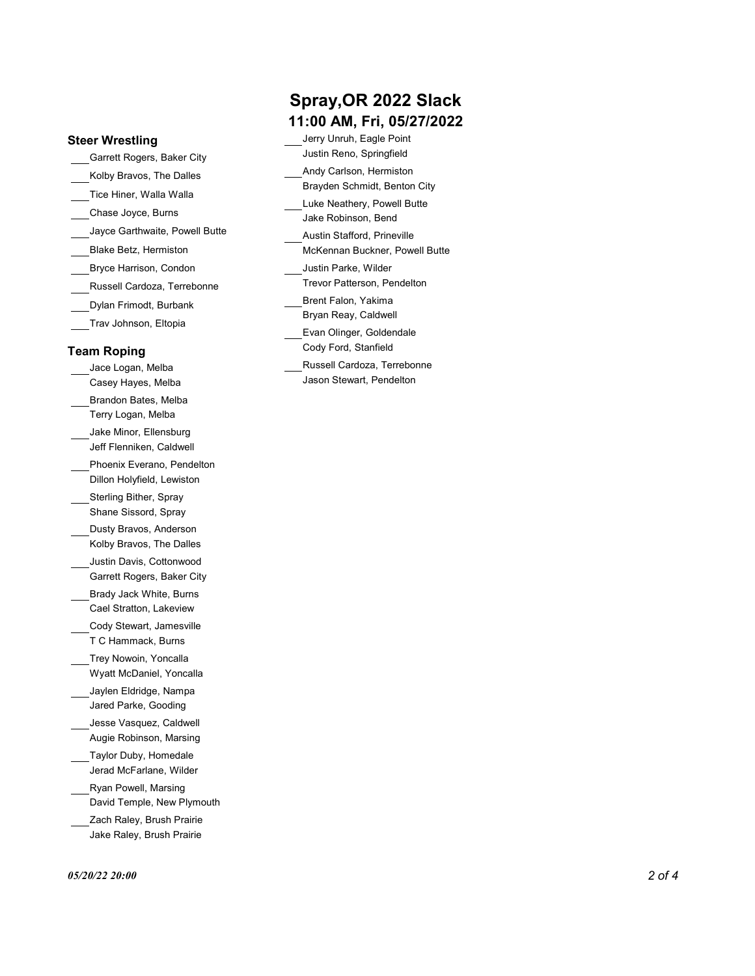### Steer Wrestling

Garrett Rogers, Baker City Kolby Bravos, The Dalles Tice Hiner, Walla Walla Chase Joyce, Burns Jayce Garthwaite, Powell Butte Bryce Harrison, Condon Russell Cardoza, Terrebonne Dylan Frimodt, Burbank Trav Johnson, Eltopia

### Team Roping

Jace Logan, Melba Casey Hayes, Melba Brandon Bates, Melba Terry Logan, Melba Jake Minor, Ellensburg Jeff Flenniken, Caldwell Phoenix Everano, Pendelton Dillon Holyfield, Lewiston Sterling Bither, Spray Shane Sissord, Spray Dusty Bravos, Anderson Kolby Bravos, The Dalles Justin Davis, Cottonwood Garrett Rogers, Baker City Brady Jack White, Burns Cael Stratton, Lakeview Cody Stewart, Jamesville T C Hammack, Burns Trey Nowoin, Yoncalla Wyatt McDaniel, Yoncalla Jaylen Eldridge, Nampa Jared Parke, Gooding Jesse Vasquez, Caldwell Augie Robinson, Marsing Taylor Duby, Homedale Jerad McFarlane, Wilder Ryan Powell, Marsing David Temple, New Plymouth Zach Raley, Brush Prairie Jake Raley, Brush Prairie

## Spray,OR 2022 Slack 11:00 AM, Fri, 05/27/2022

Blake Betz, Hermiston McKennan Buckner, Powell Butte Jerry Unruh, Eagle Point Justin Reno, Springfield Andy Carlson, Hermiston Brayden Schmidt, Benton City Luke Neathery, Powell Butte Jake Robinson, Bend Austin Stafford, Prineville Justin Parke, Wilder Trevor Patterson, Pendelton Brent Falon, Yakima Bryan Reay, Caldwell Evan Olinger, Goldendale Cody Ford, Stanfield Russell Cardoza, Terrebonne Jason Stewart, Pendelton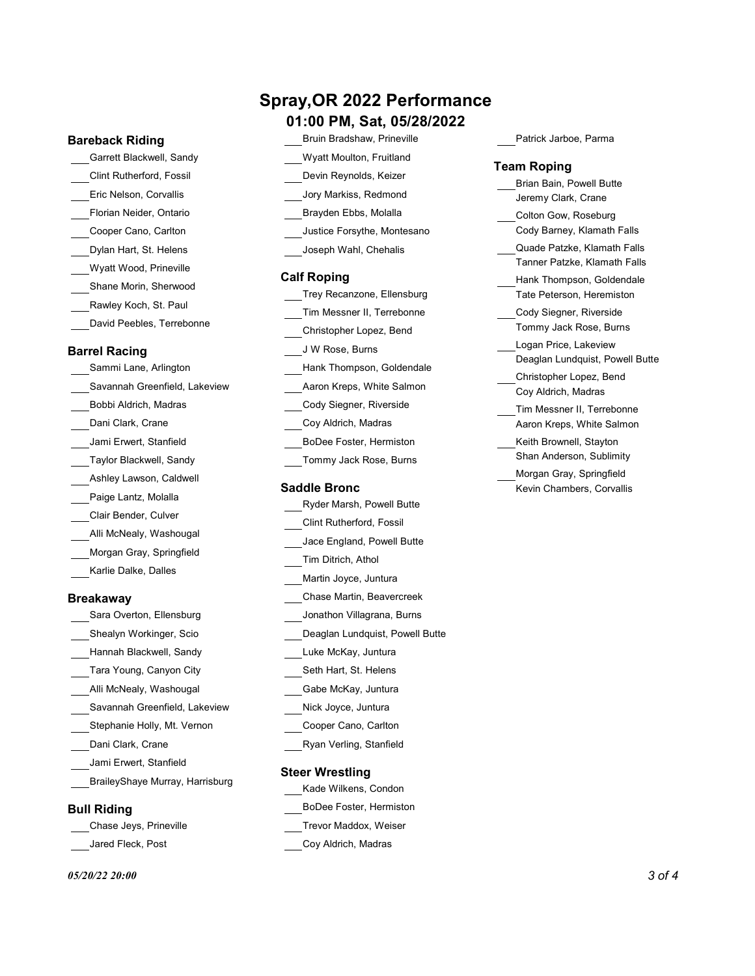### Bareback Riding

Garrett Blackwell, Sandy Clint Rutherford, Fossil Eric Nelson, Corvallis Florian Neider, Ontario Cooper Cano, Carlton Dylan Hart, St. Helens Wyatt Wood, Prineville Shane Morin, Sherwood Rawley Koch, St. Paul David Peebles, Terrebonne

### Barrel Racing

Sammi Lane, Arlington Savannah Greenfield, Lakeview Bobbi Aldrich, Madras Dani Clark, Crane Jami Erwert, Stanfield Taylor Blackwell, Sandy Ashley Lawson, Caldwell Paige Lantz, Molalla Clair Bender, Culver Alli McNealy, Washougal Morgan Gray, Springfield Karlie Dalke, Dalles

### Breakaway

Sara Overton, Ellensburg Hannah Blackwell, Sandy Tara Young, Canyon City Alli McNealy, Washougal Savannah Greenfield, Lakeview Stephanie Holly, Mt. Vernon Dani Clark, Crane Ryan Verling, Stanfield Jami Erwert, Stanfield BraileyShaye Murray, Harrisburg

### Bull Riding

Jared Fleck, Post

# Spray,OR 2022 Performance

### 01:00 PM, Sat, 05/28/2022

| Bruin Bradshaw, Prineville      | Patrick Jarboe, Parma                   |
|---------------------------------|-----------------------------------------|
| <b>Wyatt Moulton, Fruitland</b> |                                         |
| Devin Reynolds, Keizer          | Team Roping<br>Brian Bain, Powell Butte |
| Jory Markiss, Redmond           | Jeremy Clark, Crane                     |
| Brayden Ebbs, Molalla           | Colton Gow, Roseburg                    |
| Justice Forsythe, Montesano     | Cody Barney, Klamath Falls              |
| Joseph Wahl, Chehalis           | Quade Patzke, Klamath Falls             |
|                                 | Tanner Patzke, Klamath Falls            |
| <b>Calf Roping</b>              | Hank Thomnson, Goldendale               |

|                            | rianii monipoon, Coldonda                      |
|----------------------------|------------------------------------------------|
| Trey Recanzone, Ellensburg | Tate Peterson, Heremiston                      |
| Tim Messner II, Terrebonne | Cody Siegner, Riverside                        |
| Christopher Lopez, Bend    | Tommy Jack Rose, Burns                         |
| J W Rose, Burns            | Logan Price, Lakeview                          |
| Hank Thompson, Goldendale  | Deaglan Lundquist, Powell                      |
| Aaron Kreps, White Salmon  | Christopher Lopez, Bend<br>Coy Aldrich, Madras |
| Cody Siegner, Riverside    | Tim Messner II, Terrebonn                      |
| Coy Aldrich, Madras        | Aaron Kreps, White Salmo                       |
| BoDee Foster, Hermiston    | Keith Brownell, Stayton                        |
| Tommy Jack Rose, Burns     | Shan Anderson, Sublimity                       |
|                            | Morgan Gray, Springfield                       |
| Saddle Bronc               | Kevin Chambers, Corvallis                      |

## Shealyn Workinger, Scio Deaglan Lundquist, Powell Butte Ryder Marsh, Powell Butte Clint Rutherford, Fossil Jace England, Powell Butte Tim Ditrich, Athol Martin Joyce, Juntura Chase Martin, Beavercreek Jonathon Villagrana, Burns Luke McKay, Juntura Seth Hart, St. Helens Gabe McKay, Juntura Nick Joyce, Juntura Cooper Cano, Carlton

### Steer Wrestling

- Kade Wilkens, Condon
- BoDee Foster, Hermiston
- Chase Jeys, Prineville Trevor Maddox, Weiser
	- Coy Aldrich, Madras

#### Team Roping

|                             | Brian Bain, Powell Butte        |
|-----------------------------|---------------------------------|
| Jory Markiss, Redmond       | Jeremy Clark, Crane             |
| Brayden Ebbs, Molalla       | Colton Gow, Roseburg            |
| Justice Forsythe, Montesano | Cody Barney, Klamath Falls      |
| Joseph Wahl, Chehalis       | Quade Patzke, Klamath Falls     |
|                             | Tanner Patzke, Klamath Falls    |
| Roping                      | Hank Thompson, Goldendale       |
| Trey Recanzone, Ellensburg  | Tate Peterson, Heremiston       |
| Tim Messner II, Terrebonne  | Cody Siegner, Riverside         |
| Christopher Lopez, Bend     | Tommy Jack Rose, Burns          |
| J W Rose, Burns             | Logan Price, Lakeview           |
| Hank Thompson, Goldendale   | Deaglan Lundquist, Powell Butte |
|                             | Christopher Lopez, Bend         |
| Aaron Kreps, White Salmon   | Coy Aldrich, Madras             |
| Cody Siegner, Riverside     | Tim Messner II, Terrebonne      |
| Coy Aldrich, Madras         | Aaron Kreps, White Salmon       |
| BoDee Foster, Hermiston     | Keith Brownell, Stayton         |
| Tommy Jack Rose, Burns      | Shan Anderson, Sublimity        |
|                             | Morgan Gray, Springfield        |
| dle Bronc                   | Kevin Chambers, Corvallis       |